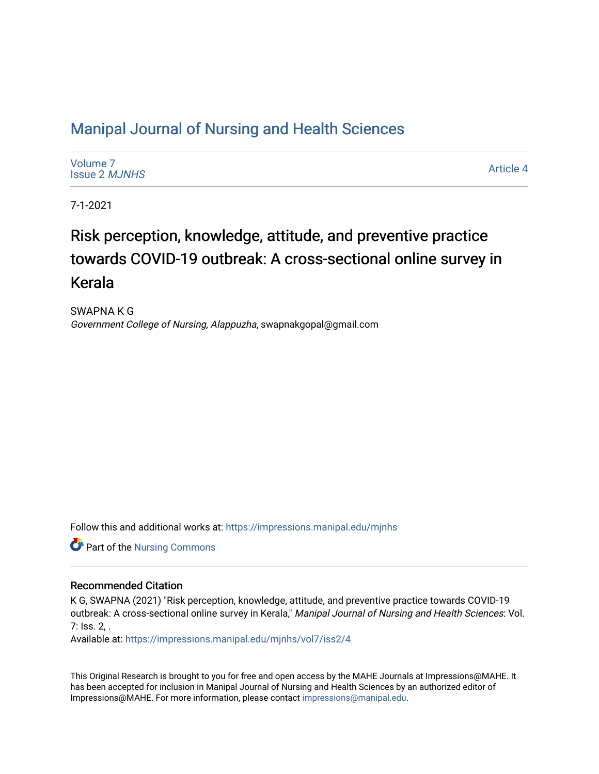## [Manipal Journal of Nursing and Health Sciences](https://impressions.manipal.edu/mjnhs)

[Volume 7](https://impressions.manipal.edu/mjnhs/vol7) [Issue 2](https://impressions.manipal.edu/mjnhs/vol7/iss2) MJNHS

[Article 4](https://impressions.manipal.edu/mjnhs/vol7/iss2/4) 

7-1-2021

# Risk perception, knowledge, attitude, and preventive practice towards COVID-19 outbreak: A cross-sectional online survey in Kerala

SWAPNA K G Government College of Nursing, Alappuzha, swapnakgopal@gmail.com

Follow this and additional works at: [https://impressions.manipal.edu/mjnhs](https://impressions.manipal.edu/mjnhs?utm_source=impressions.manipal.edu%2Fmjnhs%2Fvol7%2Fiss2%2F4&utm_medium=PDF&utm_campaign=PDFCoverPages) 

Part of the [Nursing Commons](https://network.bepress.com/hgg/discipline/718?utm_source=impressions.manipal.edu%2Fmjnhs%2Fvol7%2Fiss2%2F4&utm_medium=PDF&utm_campaign=PDFCoverPages) 

#### Recommended Citation

K G, SWAPNA (2021) "Risk perception, knowledge, attitude, and preventive practice towards COVID-19 outbreak: A cross-sectional online survey in Kerala," Manipal Journal of Nursing and Health Sciences: Vol. 7: Iss. 2, .

Available at: [https://impressions.manipal.edu/mjnhs/vol7/iss2/4](https://impressions.manipal.edu/mjnhs/vol7/iss2/4?utm_source=impressions.manipal.edu%2Fmjnhs%2Fvol7%2Fiss2%2F4&utm_medium=PDF&utm_campaign=PDFCoverPages) 

This Original Research is brought to you for free and open access by the MAHE Journals at Impressions@MAHE. It has been accepted for inclusion in Manipal Journal of Nursing and Health Sciences by an authorized editor of Impressions@MAHE. For more information, please contact [impressions@manipal.edu](mailto:impressions@manipal.edu).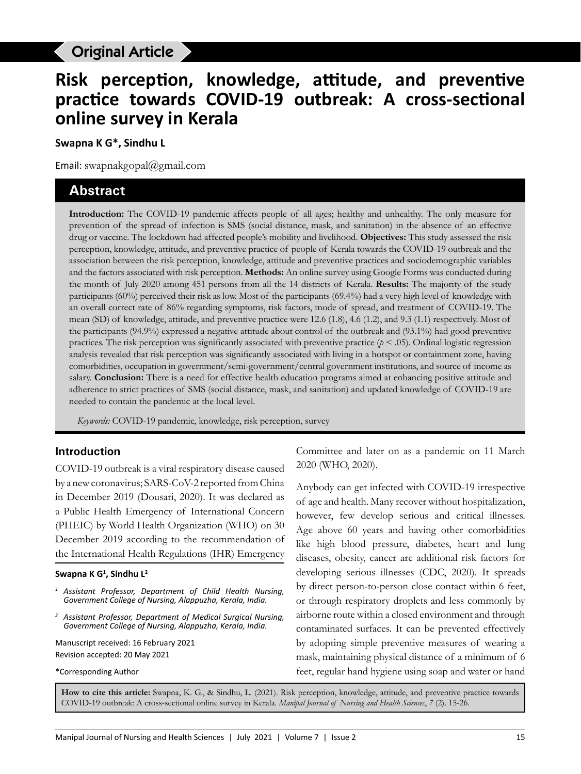## Original Article

# **Risk perception, knowledge, attitude, and preventive practice towards COVID-19 outbreak: A cross-sectional online survey in Kerala**

**Swapna K G\*, Sindhu L**

Email: swapnakgopal@gmail.com

## **Abstract**

**Introduction:** The COVID-19 pandemic affects people of all ages; healthy and unhealthy. The only measure for prevention of the spread of infection is SMS (social distance, mask, and sanitation) in the absence of an effective drug or vaccine. The lockdown had affected people's mobility and livelihood. **Objectives:** This study assessed the risk perception, knowledge, attitude, and preventive practice of people of Kerala towards the COVID-19 outbreak and the association between the risk perception, knowledge, attitude and preventive practices and sociodemographic variables and the factors associated with risk perception. **Methods:** An online survey using Google Forms was conducted during the month of July 2020 among 451 persons from all the 14 districts of Kerala. **Results:** The majority of the study participants (60%) perceived their risk as low. Most of the participants (69.4%) had a very high level of knowledge with an overall correct rate of 86% regarding symptoms, risk factors, mode of spread, and treatment of COVID-19. The mean (SD) of knowledge, attitude, and preventive practice were 12.6 (1.8), 4.6 (1.2), and 9.3 (1.1) respectively. Most of the participants (94.9%) expressed a negative attitude about control of the outbreak and (93.1%) had good preventive practices. The risk perception was significantly associated with preventive practice  $(p < .05)$ . Ordinal logistic regression analysis revealed that risk perception was significantly associated with living in a hotspot or containment zone, having comorbidities, occupation in government/semi-government/central government institutions, and source of income as salary. **Conclusion:** There is a need for effective health education programs aimed at enhancing positive attitude and adherence to strict practices of SMS (social distance, mask, and sanitation) and updated knowledge of COVID-19 are needed to contain the pandemic at the local level.

*Keywords:* COVID-19 pandemic, knowledge, risk perception, survey

#### **Introduction**

COVID-19 outbreak is a viral respiratory disease caused by a new coronavirus; SARS-CoV-2 reported from China in December 2019 (Dousari, 2020). It was declared as a Public Health Emergency of International Concern (PHEIC) by World Health Organization (WHO) on 30 December 2019 according to the recommendation of the International Health Regulations (IHR) Emergency

#### **Swapna K G1 , Sindhu L2**

- *<sup>1</sup> Assistant Professor, Department of Child Health Nursing, Government College of Nursing, Alappuzha, Kerala, India.*
- *<sup>2</sup> Assistant Professor, Department of Medical Surgical Nursing, Government College of Nursing, Alappuzha, Kerala, India.*

Manuscript received: 16 February 2021 Revision accepted: 20 May 2021

\*Corresponding Author

Committee and later on as a pandemic on 11 March 2020 (WHO, 2020).

Anybody can get infected with COVID-19 irrespective of age and health. Many recover without hospitalization, however, few develop serious and critical illnesses. Age above 60 years and having other comorbidities like high blood pressure, diabetes, heart and lung diseases, obesity, cancer are additional risk factors for developing serious illnesses (CDC, 2020). It spreads by direct person-to-person close contact within 6 feet, or through respiratory droplets and less commonly by airborne route within a closed environment and through contaminated surfaces. It can be prevented effectively by adopting simple preventive measures of wearing a mask, maintaining physical distance of a minimum of 6 feet, regular hand hygiene using soap and water or hand

**How to cite this article:** Swapna, K. G., & Sindhu, L. (2021). Risk perception, knowledge, attitude, and preventive practice towards COVID-19 outbreak: A cross-sectional online survey in Kerala. *Manipal Journal of Nursing and Health Sciences*, *7* (2). 15-26.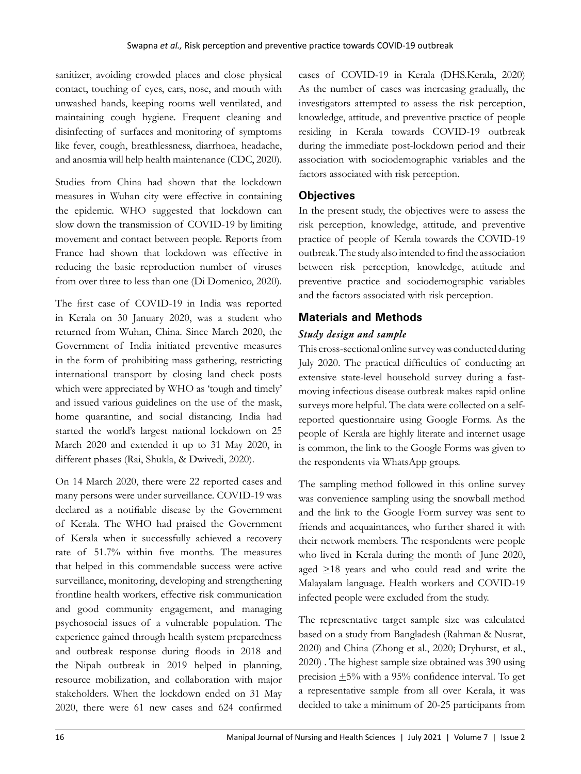sanitizer, avoiding crowded places and close physical contact, touching of eyes, ears, nose, and mouth with unwashed hands, keeping rooms well ventilated, and maintaining cough hygiene. Frequent cleaning and disinfecting of surfaces and monitoring of symptoms like fever, cough, breathlessness, diarrhoea, headache, and anosmia will help health maintenance (CDC, 2020).

Studies from China had shown that the lockdown measures in Wuhan city were effective in containing the epidemic. WHO suggested that lockdown can slow down the transmission of COVID-19 by limiting movement and contact between people. Reports from France had shown that lockdown was effective in reducing the basic reproduction number of viruses from over three to less than one (Di Domenico, 2020).

The first case of COVID-19 in India was reported in Kerala on 30 January 2020, was a student who returned from Wuhan, China. Since March 2020, the Government of India initiated preventive measures in the form of prohibiting mass gathering, restricting international transport by closing land check posts which were appreciated by WHO as 'tough and timely' and issued various guidelines on the use of the mask, home quarantine, and social distancing. India had started the world's largest national lockdown on 25 March 2020 and extended it up to 31 May 2020, in different phases (Rai, Shukla, & Dwivedi, 2020).

On 14 March 2020, there were 22 reported cases and many persons were under surveillance. COVID-19 was declared as a notifiable disease by the Government of Kerala. The WHO had praised the Government of Kerala when it successfully achieved a recovery rate of 51.7% within five months. The measures that helped in this commendable success were active surveillance, monitoring, developing and strengthening frontline health workers, effective risk communication and good community engagement, and managing psychosocial issues of a vulnerable population. The experience gained through health system preparedness and outbreak response during floods in 2018 and the Nipah outbreak in 2019 helped in planning, resource mobilization, and collaboration with major stakeholders. When the lockdown ended on 31 May 2020, there were 61 new cases and 624 confirmed

cases of COVID-19 in Kerala (DHS.Kerala, 2020) As the number of cases was increasing gradually, the investigators attempted to assess the risk perception, knowledge, attitude, and preventive practice of people residing in Kerala towards COVID-19 outbreak during the immediate post-lockdown period and their association with sociodemographic variables and the factors associated with risk perception.

## **Objectives**

In the present study, the objectives were to assess the risk perception, knowledge, attitude, and preventive practice of people of Kerala towards the COVID-19 outbreak. The study also intended to find the association between risk perception, knowledge, attitude and preventive practice and sociodemographic variables and the factors associated with risk perception.

## **Materials and Methods**

## *Study design and sample*

This cross-sectional online survey was conducted during July 2020. The practical difficulties of conducting an extensive state-level household survey during a fastmoving infectious disease outbreak makes rapid online surveys more helpful. The data were collected on a selfreported questionnaire using Google Forms. As the people of Kerala are highly literate and internet usage is common, the link to the Google Forms was given to the respondents via WhatsApp groups.

The sampling method followed in this online survey was convenience sampling using the snowball method and the link to the Google Form survey was sent to friends and acquaintances, who further shared it with their network members. The respondents were people who lived in Kerala during the month of June 2020, aged  $\geq$ 18 years and who could read and write the Malayalam language. Health workers and COVID-19 infected people were excluded from the study.

The representative target sample size was calculated based on a study from Bangladesh (Rahman & Nusrat, 2020) and China (Zhong et al., 2020; Dryhurst, et al., 2020) . The highest sample size obtained was 390 using precision  $\pm 5\%$  with a 95% confidence interval. To get a representative sample from all over Kerala, it was decided to take a minimum of 20-25 participants from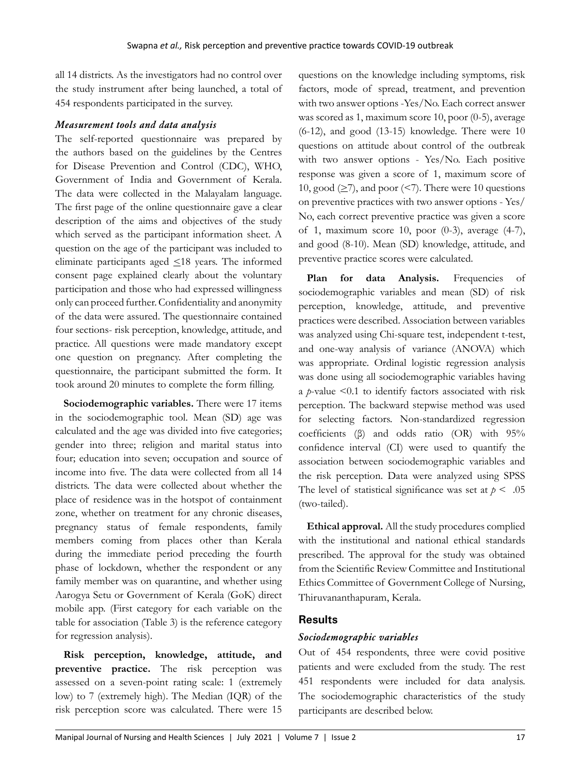all 14 districts. As the investigators had no control over the study instrument after being launched, a total of 454 respondents participated in the survey.

#### *Measurement tools and data analysis*

The self-reported questionnaire was prepared by the authors based on the guidelines by the Centres for Disease Prevention and Control (CDC), WHO, Government of India and Government of Kerala. The data were collected in the Malayalam language. The first page of the online questionnaire gave a clear description of the aims and objectives of the study which served as the participant information sheet. A question on the age of the participant was included to eliminate participants aged  $\leq$ 18 years. The informed consent page explained clearly about the voluntary participation and those who had expressed willingness only can proceed further. Confidentiality and anonymity of the data were assured. The questionnaire contained four sections- risk perception, knowledge, attitude, and practice. All questions were made mandatory except one question on pregnancy. After completing the questionnaire, the participant submitted the form. It took around 20 minutes to complete the form filling.

**Sociodemographic variables.** There were 17 items in the sociodemographic tool. Mean (SD) age was calculated and the age was divided into five categories; gender into three; religion and marital status into four; education into seven; occupation and source of income into five. The data were collected from all 14 districts. The data were collected about whether the place of residence was in the hotspot of containment zone, whether on treatment for any chronic diseases, pregnancy status of female respondents, family members coming from places other than Kerala during the immediate period preceding the fourth phase of lockdown, whether the respondent or any family member was on quarantine, and whether using Aarogya Setu or Government of Kerala (GoK) direct mobile app. (First category for each variable on the table for association (Table 3) is the reference category for regression analysis).

**Risk perception, knowledge, attitude, and preventive practice.** The risk perception was assessed on a seven-point rating scale: 1 (extremely low) to 7 (extremely high). The Median (IQR) of the risk perception score was calculated. There were 15

questions on the knowledge including symptoms, risk factors, mode of spread, treatment, and prevention with two answer options -Yes/No. Each correct answer was scored as 1, maximum score 10, poor (0-5), average (6-12), and good (13-15) knowledge. There were 10 questions on attitude about control of the outbreak with two answer options - Yes/No. Each positive response was given a score of 1, maximum score of 10, good  $(\geq 7)$ , and poor  $(< 7)$ . There were 10 questions on preventive practices with two answer options - Yes/ No, each correct preventive practice was given a score of 1, maximum score 10, poor (0-3), average (4-7), and good (8-10). Mean (SD) knowledge, attitude, and preventive practice scores were calculated.

Plan for data Analysis. Frequencies of sociodemographic variables and mean (SD) of risk perception, knowledge, attitude, and preventive practices were described. Association between variables was analyzed using Chi-square test, independent t-test, and one-way analysis of variance (ANOVA) which was appropriate. Ordinal logistic regression analysis was done using all sociodemographic variables having a *p*-value <0.1 to identify factors associated with risk perception. The backward stepwise method was used for selecting factors. Non-standardized regression coefficients (β) and odds ratio (OR) with 95% confidence interval (CI) were used to quantify the association between sociodemographic variables and the risk perception. Data were analyzed using SPSS The level of statistical significance was set at  $p < .05$ (two-tailed).

**Ethical approval.** All the study procedures complied with the institutional and national ethical standards prescribed. The approval for the study was obtained from the Scientific Review Committee and Institutional Ethics Committee of Government College of Nursing, Thiruvananthapuram, Kerala.

### **Results**

#### *Sociodemographic variables*

Out of 454 respondents, three were covid positive patients and were excluded from the study. The rest 451 respondents were included for data analysis. The sociodemographic characteristics of the study participants are described below.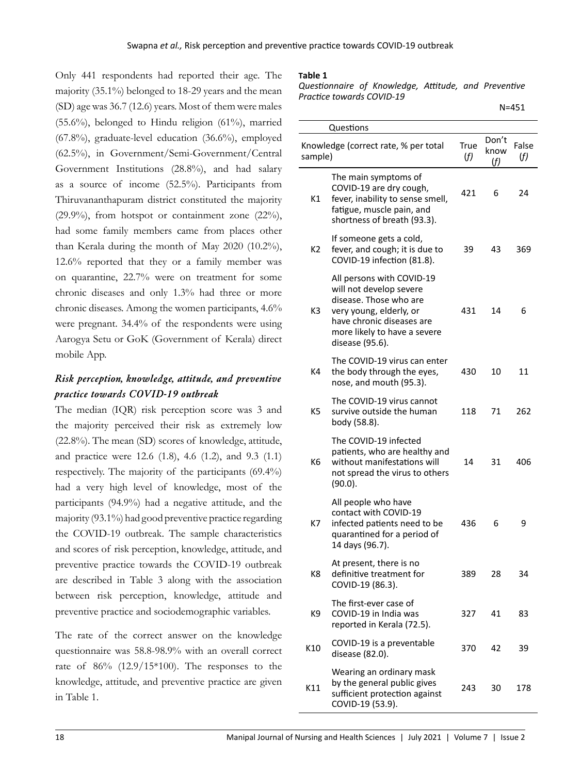Only 441 respondents had reported their age. The majority (35.1%) belonged to 18-29 years and the mean (SD) age was 36.7 (12.6) years. Most of them were males  $(55.6\%)$ , belonged to Hindu religion  $(61\%)$ , married (67.8%), graduate-level education (36.6%), employed (62.5%), in Government/Semi-Government/Central Government Institutions (28.8%), and had salary as a source of income (52.5%). Participants from Thiruvananthapuram district constituted the majority  $(29.9\%)$ , from hotspot or containment zone  $(22\%)$ , had some family members came from places other than Kerala during the month of May 2020 (10.2%), 12.6% reported that they or a family member was on quarantine, 22.7% were on treatment for some chronic diseases and only 1.3% had three or more chronic diseases. Among the women participants, 4.6% were pregnant. 34.4% of the respondents were using Aarogya Setu or GoK (Government of Kerala) direct mobile App.

## *Risk perception, knowledge, attitude, and preventive practice towards COVID-19 outbreak*

The median (IQR) risk perception score was 3 and the majority perceived their risk as extremely low (22.8%). The mean (SD) scores of knowledge, attitude, and practice were 12.6 (1.8), 4.6 (1.2), and 9.3 (1.1) respectively. The majority of the participants (69.4%) had a very high level of knowledge, most of the participants (94.9%) had a negative attitude, and the majority (93.1%) had good preventive practice regarding the COVID-19 outbreak. The sample characteristics and scores of risk perception, knowledge, attitude, and preventive practice towards the COVID-19 outbreak are described in Table 3 along with the association between risk perception, knowledge, attitude and preventive practice and sociodemographic variables.

The rate of the correct answer on the knowledge questionnaire was 58.8-98.9% with an overall correct rate of 86% (12.9/15\*100). The responses to the knowledge, attitude, and preventive practice are given in Table 1.

#### **Table 1**

*Questionnaire of Knowledge, Attitude, and Preventive Practice towards COVID-19* 

|                | Questions                                                                                                                                                                                 |             |                      |              |
|----------------|-------------------------------------------------------------------------------------------------------------------------------------------------------------------------------------------|-------------|----------------------|--------------|
| sample)        | Knowledge (correct rate, % per total                                                                                                                                                      | True<br>(f) | Don't<br>know<br>(f) | False<br>(f) |
| K1             | The main symptoms of<br>COVID-19 are dry cough,<br>fever, inability to sense smell,<br>fatigue, muscle pain, and<br>shortness of breath (93.3).                                           | 421         | 6                    | 24           |
| K2             | If someone gets a cold,<br>fever, and cough; it is due to<br>COVID-19 infection (81.8).                                                                                                   | 39          | 43                   | 369          |
| K3             | All persons with COVID-19<br>will not develop severe<br>disease. Those who are<br>very young, elderly, or<br>have chronic diseases are<br>more likely to have a severe<br>disease (95.6). | 431         | 14                   | 6            |
| K4             | The COVID-19 virus can enter<br>the body through the eyes,<br>nose, and mouth (95.3).                                                                                                     | 430         | 10                   | 11           |
| K <sub>5</sub> | The COVID-19 virus cannot<br>survive outside the human<br>body (58.8).                                                                                                                    | 118         | 71                   | 262          |
| K <sub>6</sub> | The COVID-19 infected<br>patients, who are healthy and<br>without manifestations will<br>not spread the virus to others<br>(90.0).                                                        | 14          | 31                   | 406          |
| K7             | All people who have<br>contact with COVID-19<br>infected patients need to be<br>quarantined for a period of<br>14 days (96.7).                                                            | 436         | 6                    | 9            |
| K8             | At present, there is no<br>definitive treatment for<br>COVID-19 (86.3).                                                                                                                   | 389         | 28                   | 34           |
| K9             | The first-ever case of<br>COVID-19 in India was<br>reported in Kerala (72.5).                                                                                                             | 327         | 41                   | 83           |
| K10            | COVID-19 is a preventable<br>disease (82.0).                                                                                                                                              | 370         | 42                   | 39           |
| K11            | Wearing an ordinary mask<br>by the general public gives<br>sufficient protection against<br>COVID-19 (53.9).                                                                              | 243         | 30                   | 178          |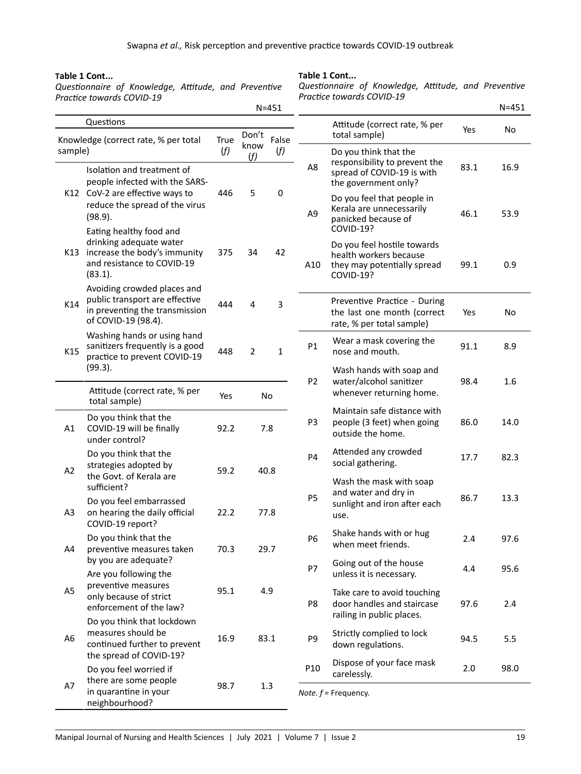#### **Table 1 Cont...**

*Questionnaire of Knowledge, Attitude, and Preventive Practice towards COVID-19* 

**Table 1 Cont...**

*Questionnaire of Knowledge, Attitude, and Preventive Practice towards COVID-19* 

|                |                                                                                                                                 |             |                | $N = 451$    |                |                                                                                                          |      | $N = 451$ |
|----------------|---------------------------------------------------------------------------------------------------------------------------------|-------------|----------------|--------------|----------------|----------------------------------------------------------------------------------------------------------|------|-----------|
|                | Questions                                                                                                                       |             | Don't          | False        |                | Attitude (correct rate, % per<br>total sample)                                                           | Yes  | No        |
| sample)        | Knowledge (correct rate, % per total                                                                                            | True<br>(f) | know<br>(f)    | (f)          | A8             | Do you think that the<br>responsibility to prevent the                                                   | 83.1 | 16.9      |
|                | Isolation and treatment of<br>people infected with the SARS-<br>K12 CoV-2 are effective ways to                                 | 446         | 5              | 0            |                | spread of COVID-19 is with<br>the government only?<br>Do you feel that people in                         |      |           |
|                | reduce the spread of the virus<br>(98.9).                                                                                       |             |                |              | A <sub>9</sub> | Kerala are unnecessarily<br>panicked because of<br><b>COVID-19?</b>                                      | 46.1 | 53.9      |
|                | Eating healthy food and<br>drinking adequate water<br>K13 increase the body's immunity<br>and resistance to COVID-19<br>(83.1). | 375         | 34             | 42           | A10            | Do you feel hostile towards<br>health workers because<br>they may potentially spread<br><b>COVID-19?</b> | 99.1 | 0.9       |
| K14            | Avoiding crowded places and<br>public transport are effective<br>in preventing the transmission<br>of COVID-19 (98.4).          | 444         | 4              | 3            |                | Preventive Practice - During<br>the last one month (correct<br>rate, % per total sample)                 | Yes  | No        |
| K15            | Washing hands or using hand<br>sanitizers frequently is a good<br>practice to prevent COVID-19                                  | 448         | $\overline{2}$ | $\mathbf{1}$ | <b>P1</b>      | Wear a mask covering the<br>nose and mouth.                                                              | 91.1 | 8.9       |
|                | (99.3).<br>Attitude (correct rate, % per                                                                                        |             |                |              | P <sub>2</sub> | Wash hands with soap and<br>water/alcohol sanitizer<br>whenever returning home.                          | 98.4 | 1.6       |
|                | total sample)                                                                                                                   | Yes         | <b>No</b>      |              |                |                                                                                                          |      |           |
| A1             | Do you think that the<br>COVID-19 will be finally<br>under control?                                                             | 92.2        |                | 7.8          | P3             | Maintain safe distance with<br>people (3 feet) when going<br>outside the home.                           | 86.0 | 14.0      |
| A2             | Do you think that the<br>strategies adopted by                                                                                  | 59.2        | 40.8           |              | P4             | Attended any crowded<br>social gathering.                                                                | 17.7 | 82.3      |
|                | the Govt. of Kerala are<br>sufficient?<br>Do you feel embarrassed                                                               |             |                |              | <b>P5</b>      | Wash the mask with soap<br>and water and dry in<br>sunlight and iron after each                          | 86.7 | 13.3      |
| A <sub>3</sub> | on hearing the daily official<br>COVID-19 report?                                                                               | 22.2        | 77.8           |              |                | use.                                                                                                     |      |           |
| A4             | Do you think that the<br>preventive measures taken                                                                              | 70.3        |                | 29.7         | P <sub>6</sub> | Shake hands with or hug<br>when meet friends.                                                            | 2.4  | 97.6      |
|                | by you are adequate?<br>Are you following the                                                                                   |             |                |              | <b>P7</b>      | Going out of the house<br>unless it is necessary.                                                        | 4.4  | 95.6      |
| A5             | preventive measures<br>only because of strict<br>enforcement of the law?                                                        | 95.1        | 4.9            |              | P8             | Take care to avoid touching<br>door handles and staircase<br>railing in public places.                   | 97.6 | 2.4       |
| A6             | Do you think that lockdown<br>measures should be<br>continued further to prevent<br>the spread of COVID-19?                     | 16.9        | 83.1           |              | P9             | Strictly complied to lock<br>down regulations.                                                           | 94.5 | 5.5       |
|                | Do you feel worried if<br>there are some people                                                                                 |             |                |              | P10            | Dispose of your face mask<br>carelessly.                                                                 | 2.0  | 98.0      |
| A7             | in quarantine in your<br>neighbourhood?                                                                                         | 98.7        | 1.3            |              |                | Note. $f$ = Frequency.                                                                                   |      |           |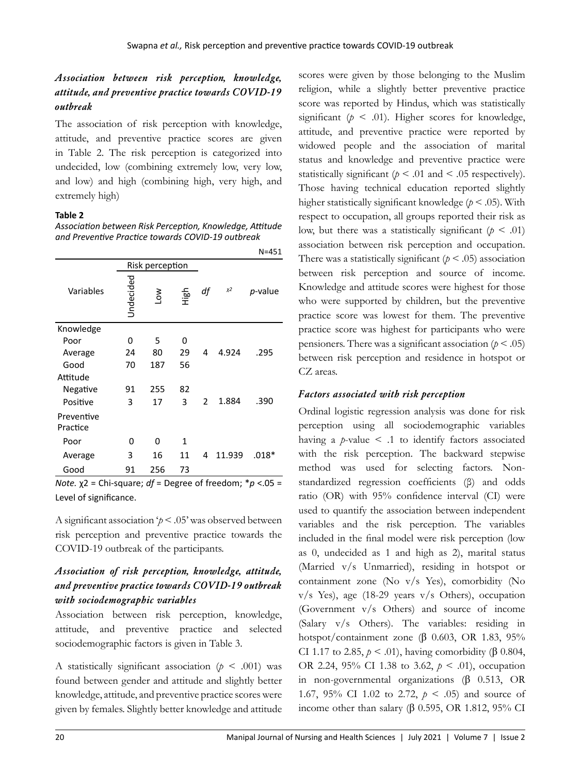## *Association between risk perception, knowledge, attitude, and preventive practice towards COVID-19 outbreak*

The association of risk perception with knowledge, attitude, and preventive practice scores are given in Table 2. The risk perception is categorized into undecided, low (combining extremely low, very low, and low) and high (combining high, very high, and extremely high)

#### **Table 2**

*Association between Risk Perception, Knowledge, Attitude and Preventive Practice towards COVID-19 outbreak*

|                        |           |                 |         |                |        | N=451           |
|------------------------|-----------|-----------------|---------|----------------|--------|-----------------|
|                        |           | Risk perception |         |                |        |                 |
| Variables              | Undecided | Š               | 다.<br>도 | df             | $x^2$  | <i>p</i> -value |
| Knowledge              |           |                 |         |                |        |                 |
| Poor                   | 0         | 5               | 0       |                |        |                 |
| Average                | 24        | 80              | 29      | 4              | 4.924  | .295            |
| Good                   | 70        | 187             | 56      |                |        |                 |
| Attitude               |           |                 |         |                |        |                 |
| Negative               | 91        | 255             | 82      |                |        |                 |
| Positive               | 3         | 17              | 3       | $\overline{2}$ | 1.884  | .390            |
| Preventive<br>Practice |           |                 |         |                |        |                 |
| Poor                   | 0         | 0               | 1       |                |        |                 |
| Average                | 3         | 16              | 11      | 4              | 11.939 | .018*           |
| Good                   | 91        | 256             | 73      |                |        |                 |

*Note.* χ2 = Chi-square; *df* = Degree of freedom; \**p* <.05 = Level of significance.

A significant association '*p* < .05' was observed between risk perception and preventive practice towards the COVID-19 outbreak of the participants.

## *Association of risk perception, knowledge, attitude, and preventive practice towards COVID-19 outbreak with sociodemographic variables*

Association between risk perception, knowledge, attitude, and preventive practice and selected sociodemographic factors is given in Table 3.

A statistically significant association ( $p < .001$ ) was found between gender and attitude and slightly better knowledge, attitude, and preventive practice scores were given by females. Slightly better knowledge and attitude

scores were given by those belonging to the Muslim religion, while a slightly better preventive practice score was reported by Hindus, which was statistically significant ( $p \leq .01$ ). Higher scores for knowledge, attitude, and preventive practice were reported by widowed people and the association of marital status and knowledge and preventive practice were statistically significant ( $p < .01$  and  $< .05$  respectively). Those having technical education reported slightly higher statistically significant knowledge (*p* < .05). With respect to occupation, all groups reported their risk as low, but there was a statistically significant  $(p < .01)$ association between risk perception and occupation. There was a statistically significant ( $p < .05$ ) association between risk perception and source of income. Knowledge and attitude scores were highest for those who were supported by children, but the preventive practice score was lowest for them. The preventive practice score was highest for participants who were pensioners. There was a significant association ( $p < .05$ ) between risk perception and residence in hotspot or CZ areas.

### *Factors associated with risk perception*

Ordinal logistic regression analysis was done for risk perception using all sociodemographic variables having a *p*-value < .1 to identify factors associated with the risk perception. The backward stepwise method was used for selecting factors. Nonstandardized regression coefficients (β) and odds ratio (OR) with 95% confidence interval (CI) were used to quantify the association between independent variables and the risk perception. The variables included in the final model were risk perception (low as 0, undecided as 1 and high as 2), marital status (Married v/s Unmarried), residing in hotspot or containment zone (No v/s Yes), comorbidity (No v/s Yes), age (18-29 years v/s Others), occupation (Government v/s Others) and source of income (Salary v/s Others). The variables: residing in hotspot/containment zone  $(\beta \ 0.603, \ OR \ 1.83, \ 95\%)$ CI 1.17 to 2.85,  $p < .01$ ), having comorbidity ( $\beta$  0.804, OR 2.24, 95% CI 1.38 to 3.62, *p* < .01), occupation in non-governmental organizations  $(\beta \quad 0.513, \quad \text{OR})$ 1.67, 95% CI 1.02 to 2.72, *p* < .05) and source of income other than salary ( $\beta$  0.595, OR 1.812, 95% CI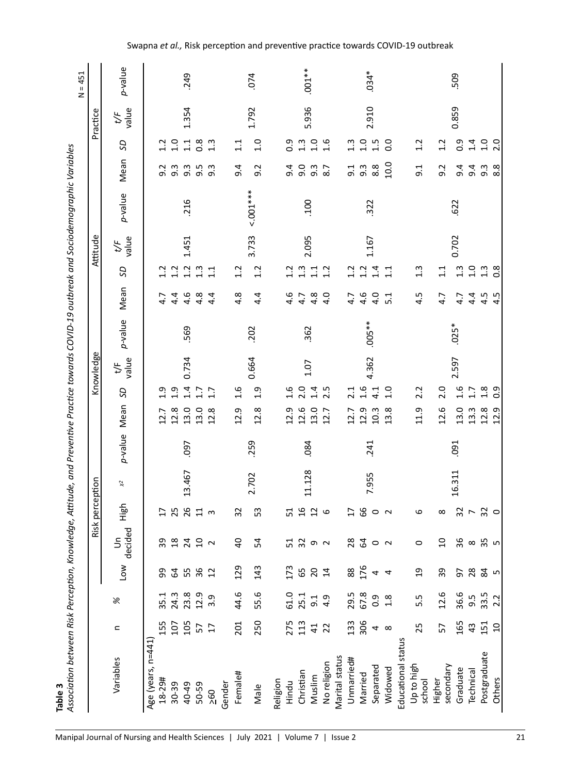| m |  |
|---|--|
| ه |  |
|   |  |

|               | I                                                                                           |  |
|---------------|---------------------------------------------------------------------------------------------|--|
|               | j                                                                                           |  |
|               |                                                                                             |  |
|               | י<br>ו                                                                                      |  |
|               |                                                                                             |  |
|               | )<br>)<br>)<br>)<br>)<br>֧֪֪֪֦֪֦֪֪֪֪֪֪֪֪֪֪֪֪֪֪֪֪֪֪֪֪֪֪֪֧֧֧֧֧֝֝֝֝֝֝֝֓֓֝֓֓֓֝<br>֧֪֧֝֝֝<br>֧֪֝ |  |
|               |                                                                                             |  |
|               |                                                                                             |  |
|               | .<br>.                                                                                      |  |
|               |                                                                                             |  |
|               | l                                                                                           |  |
|               |                                                                                             |  |
|               |                                                                                             |  |
|               |                                                                                             |  |
|               |                                                                                             |  |
|               |                                                                                             |  |
|               |                                                                                             |  |
|               |                                                                                             |  |
|               |                                                                                             |  |
|               |                                                                                             |  |
|               |                                                                                             |  |
|               | í                                                                                           |  |
|               |                                                                                             |  |
|               |                                                                                             |  |
|               | ֞                                                                                           |  |
|               |                                                                                             |  |
|               |                                                                                             |  |
|               |                                                                                             |  |
|               |                                                                                             |  |
|               |                                                                                             |  |
|               |                                                                                             |  |
|               |                                                                                             |  |
|               |                                                                                             |  |
|               |                                                                                             |  |
|               |                                                                                             |  |
|               |                                                                                             |  |
|               | .<br>.                                                                                      |  |
| $\frac{1}{2}$ | ֧֧֧֧֧֧֧֧֦֧֦֧֧֦֧֦֧֧֧֧֧֧֧֧֧֧֧֧֧֚֚֚֚֚֬֓֓֝֬֓֓֝֬֓֓֓֓֓֓֬֓֓֓֓֓֓֓֓֬֓֓֓֓֬֓֓֓֓֬֓֬֓֬֬֓֬֩֩              |  |

| Practice        | p-value<br>value<br>t/F   |                                       | 249<br>1.354              |                |                   | 074<br>1.792 |          |              | $.001**$<br>5.936                         |                |                |                 | $0.034*$<br>2.910           |                          |                |                                  |                               | 509<br>0.859  |                          |                  |
|-----------------|---------------------------|---------------------------------------|---------------------------|----------------|-------------------|--------------|----------|--------------|-------------------------------------------|----------------|----------------|-----------------|-----------------------------|--------------------------|----------------|----------------------------------|-------------------------------|---------------|--------------------------|------------------|
|                 | SD                        | 1.0<br>1.2                            | 1.1<br>$\frac{8}{2}$      | 1.3            | 1.1               | 1.0          |          | 0.9          | $1.3$<br>$1.0$                            | 1.6            |                | 1.3             | $1.5$<br>$1.5$              |                          | $\overline{0}$ | 1.2                              | 1.2                           | $\frac{9}{2}$ | 1.4                      | 1.0              |
|                 | Mean                      | 9.3<br>9.2                            | 9.5<br>$9.\overline{3}$   | 9.3            | 9.4               | 9.2          |          | 9.4          | 0.6<br>9.3                                | 8.7            |                | 9.1             | $9.\overline{3}$            | 8.8                      | 10.0           | 9.1                              | 9.2                           | 9.4           | 9.4                      | $9.\overline{3}$ |
|                 | p-value                   |                                       | .216                      |                |                   | $5.001***$   |          |              | <b>00T</b>                                |                |                |                 | 322                         |                          |                |                                  |                               | .622          |                          |                  |
| Attitude        | value<br>$t$ /F           |                                       | 1.451                     |                |                   | 3.733        |          |              | 2.095                                     |                |                |                 | 1.167                       |                          |                |                                  |                               | 0.702         |                          |                  |
|                 | S                         | 1.2<br>1.2                            | 1.2<br>1.3                | 11             | 1.2               | 1.2          |          | 1.2          | $\begin{array}{c} 1.3 \\ 1.1 \end{array}$ | 1.2            |                | 1.2             | $\frac{1}{1}$ $\frac{4}{1}$ |                          |                | $1.\overline{3}$                 | 1.1                           | $1.3$         | 0.1                      | $1.\overline{3}$ |
|                 | Mean                      | 4.4<br>4.7                            | 4.6<br>4.8                | 4.4            | 4.8               | 4.4          |          | 4.6          | 4.8<br>4.7                                | 4.0            |                | 4.7             | 4.6                         | 4.0                      | 5.1            | 4.5                              | 4.7                           | 4.7           | 4.4                      | 4.5              |
|                 | p-value                   |                                       | 569                       |                |                   | 202          |          |              | 362                                       |                |                |                 | $.005**$                    |                          |                |                                  |                               | $.025*$       |                          |                  |
| Knowledge       | value<br>t/F              |                                       | 0.734                     |                |                   | 0.664        |          |              | 1.07                                      |                |                |                 | 4.362                       |                          |                |                                  |                               | 2.597         |                          |                  |
|                 | SD                        | 0.1<br>1.9                            | 1.4<br>1.7                | 1.7            | 1.6               | 0.1          |          | 1.6          | 2.0<br>1.4                                | 2.5            |                | 2.1             | $\frac{6}{1}$               | 4.1                      | 1.0            | 2.2                              | 2.0                           | 1.6           | 1.7                      | $^{2.8}$         |
|                 | Mean                      | 12.8<br>12.7                          | 13.0<br>13.0              | 12.8           | 12.9              | 12.8         |          | 12.9         | 12.6<br>13.0                              | 12.7           |                | 12.7            | 12.9                        | 10.3                     | 13.8           | 11.9                             | 12.6                          | 13.0          | 13.3                     | 12.8             |
|                 | p-value                   |                                       | <b>C60</b>                |                |                   | 259          |          |              | .084                                      |                |                |                 | 241                         |                          |                |                                  |                               | .091          |                          |                  |
|                 | $\approx$                 |                                       | 13.467                    |                |                   | 2.702        |          |              | 11.128                                    |                |                |                 | 7.955                       |                          |                |                                  |                               | 16.311        |                          |                  |
| Risk perception | <b>Righ</b>               | 25<br>H                               | $\overline{\mathfrak{u}}$ | $\mathsf{S}$   | 32                | 53           |          | 51           | $\begin{array}{c} 16 \\ 12 \end{array}$   | ٩              |                | $\frac{17}{66}$ |                             | $\circ$ $\sim$           |                | ဖ                                | $^{\circ}$                    | 32            | $\overline{\phantom{a}}$ | 32               |
|                 | decided<br>$\overline{5}$ |                                       |                           | 20             | $\overline{a}$    | 54           |          |              | 52 9 2                                    |                |                | $^{28}$         | $\mathcal{Z}$               | $\circ$                  | $\sim$         | $\circ$                          | $\overline{a}$                | 36            | $\infty$                 | 35               |
|                 | <b>NOT</b>                | <b>64</b><br>55<br>99                 | $\frac{86}{12}$           |                | 129               | 143          |          | 173<br>65    |                                           | 204            |                | 88              | 176                         | $\overline{\mathcal{A}}$ |                | $\overline{a}$                   | 39                            |               | 5 2 2                    |                  |
|                 | X                         | 24.3<br>35.1                          | 23.8<br>12.9              | 3.9            | 44.6              | 55.6         |          | 61.0<br>25.1 |                                           | $9.1$<br>$4.9$ |                | 29.5            | 67.8                        | $\frac{9}{2}$            | 1.8            | 5.5                              | 12.6                          | 36.6          | 9.5                      | 33.5             |
|                 | $\mathbf{a}$              | 155<br>107                            | 105<br>57                 | 17             | 201               | 250          |          | 275          | 41                                        | $\overline{2}$ |                | 133             | 306                         | 4                        | $\infty$       | 25                               | 57                            | 165           | 43                       | 151              |
|                 | Variables                 | Age (years, n=441)<br>18-29#<br>30-39 | 40-49<br>50-59            | $\frac{50}{2}$ | Female#<br>Gender | Male         | Religion | Hindu        | Christian<br>Muslim                       | No religion    | Marital status | Unmarried#      | Married                     | Separated                | Widowed        | Educational status<br>up to high | secondary<br>Higher<br>school | Graduate      | Technical                | Postgraduate     |

## Swapna *et al.,* Risk perception and preventive practice towards COVID-19 outbreak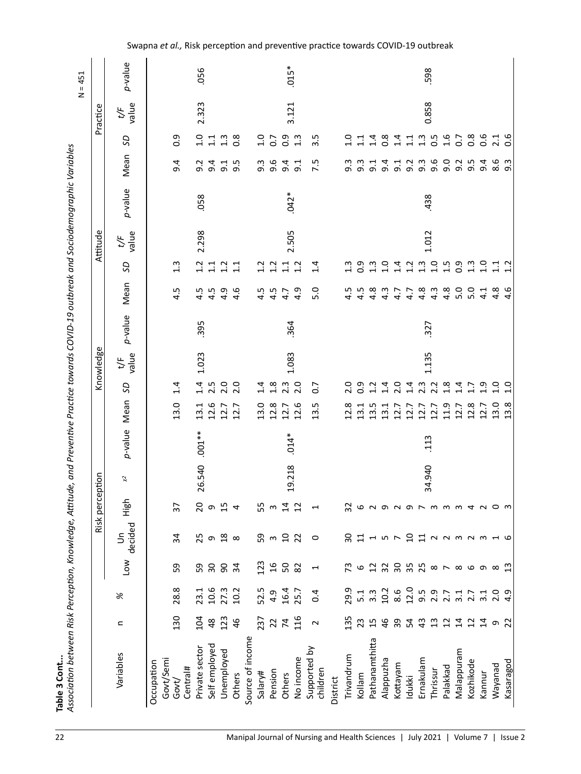| Practice   | value<br>t/F<br>SD<br>Mean | 0.9<br>9.4                       | 2.323<br>1.0<br>9.2        | 1.1<br>9.4      | 1.3           | $\frac{8}{2}$<br>$9.1$<br>$9.5$ |                  | 1.0<br>9.3 | $\overline{0}$<br>9.6     | 3.121<br>$0.\overline{0}$<br>$1.\overline{0}$<br>9.4 | $\overline{9}$ :1 | $3.\overline{5}$<br>7.5  |          | 1.0<br>9.3 | 1.1<br>9.3                            | 1.4<br>$\overline{5}$ | $0.\overline{8}$<br>9.4 | 1.4<br>9.1 | 1.1<br>9.2 | 0.858<br>$\begin{array}{c} 1.5 \\ 0.5 \end{array}$<br>$9.\overline{3}$ | 9.6              | 1.6<br>9.0                             | 0.7<br>9.2 | $\frac{8}{2}$<br>9.5             | 0.6<br>9.4 |
|------------|----------------------------|----------------------------------|----------------------------|-----------------|---------------|---------------------------------|------------------|------------|---------------------------|------------------------------------------------------|-------------------|--------------------------|----------|------------|---------------------------------------|-----------------------|-------------------------|------------|------------|------------------------------------------------------------------------|------------------|----------------------------------------|------------|----------------------------------|------------|
|            | p-value                    |                                  | 058                        |                 |               |                                 |                  |            |                           | $.042*$                                              |                   |                          |          |            |                                       |                       |                         |            |            | 438                                                                    |                  |                                        |            |                                  |            |
| Attitude   | value<br>$t$ /F            |                                  | 2.298                      |                 |               |                                 |                  |            |                           | 2.505                                                |                   |                          |          |            |                                       |                       |                         |            |            | 1.012                                                                  |                  |                                        |            |                                  |            |
|            | S                          | 1.3                              | 1.2                        | $\overline{11}$ | 1.2           | $\overline{11}$                 |                  | 1.2        | 1.2                       | $\frac{1}{11}$                                       | 1.2               | 1.4                      |          | 1.3        | 0.9                                   | 1.3                   | 1.0                     | 1.4        | 1.2        | 1.3                                                                    | 1.0              | 1.5                                    | 0.9        | $1.\overline{3}$                 | 1.0        |
|            | Mean                       | 'n,<br>4                         | 4.5                        | 4.5             | 4.9           | 4.6                             |                  | 4.5        | 4.5                       | 4.7                                                  | 4.9               | 5.0                      |          | 4.5        | 4.5                                   | 4.8                   | 4.3                     | 4.7        | 4.7        | 4.8                                                                    | $4.\overline{3}$ | 4.8                                    | 5.0        | 5.0                              | 4.1        |
|            | p-value                    |                                  | 395                        |                 |               |                                 |                  |            |                           | 364                                                  |                   |                          |          |            |                                       |                       |                         |            |            | 327                                                                    |                  |                                        |            |                                  |            |
| Knowledge  | value<br>t۴                |                                  | 1.023                      |                 |               |                                 |                  |            |                           | 1.083                                                |                   |                          |          |            |                                       |                       |                         |            |            | 1.135                                                                  |                  |                                        |            |                                  |            |
|            | S                          | 1.4                              | 1.4                        | 2.5             | 2.0           | 2.0                             |                  | 1.4        | $\frac{8}{1}$             | 2.3                                                  | 2.0               | $\overline{0}$           |          | 2.0        | $\overline{0}$ .                      | 1.2                   | 1.4                     | 2.0        | 1.4        | $2.\overline{3}$                                                       | 2.2              | $\frac{8}{1}$                          |            | $1.7$<br>$1.7$                   | 1.9        |
|            | Mean                       | 13.0                             | 13.1                       | 12.6            | $12.7$        | 12.7                            |                  | 13.0       | 12.8                      | $12.7$                                               | 12.6              | 13.5                     |          | 12.8       | 13.1                                  | 13.5                  | 13.1                    | 12.7       | 12.7       | 12.7                                                                   | 12.7             | 11.9                                   | 12.7       | 12.8                             | 12.7       |
|            | p-value                    |                                  | $.001**$                   |                 |               |                                 |                  |            |                           | $.014*$                                              |                   |                          |          |            |                                       |                       |                         |            |            | 113                                                                    |                  |                                        |            |                                  |            |
| ption      | $\asymp$                   |                                  | 26.540                     |                 |               |                                 |                  |            |                           | 19.218                                               |                   |                          |          |            |                                       |                       |                         |            |            | 34.940                                                                 |                  |                                        |            |                                  |            |
| Risk perce | High                       | $\overline{37}$                  | $\overline{c}$             | $\sigma$        | 15            | 4                               |                  | 55         | $\boldsymbol{\mathsf{c}}$ | 14                                                   | 12                | $\overline{\phantom{0}}$ |          | 32         | 6                                     |                       |                         |            |            |                                                                        |                  |                                        |            |                                  |            |
|            | decided<br>$\tilde{5}$     | 34                               | 25                         | $\sigma$        | $\frac{8}{2}$ | $\infty$                        |                  | 59         |                           | 3<br>2<br>2<br>2<br>2                                |                   | $\circ$                  |          |            | $\begin{array}{c} 2 \\ 1 \end{array}$ |                       |                         |            |            | <b>157 2 12 2232316</b>                                                |                  |                                        |            |                                  |            |
|            | <b>NOT</b>                 | 59                               | 59                         | ဥ္က             | 8 y           |                                 |                  | 123        | 16                        | SO,                                                  | 82                | $\overline{\phantom{0}}$ |          | 73         | 6                                     |                       |                         |            |            |                                                                        |                  | $\infty \sim \infty$ $\infty$ $\infty$ |            |                                  |            |
|            | X                          | 28.8                             | 23.1                       | 10.6            | 27.3          | 10.2                            |                  | 52.5       | 4.9                       | 16.4                                                 | 25.7              | 0.4                      |          | 29.9       | 5.1                                   | $3.\overline{3}$      | 10.2                    | 8.6        | 12.0       | 5.9<br>2.7<br>9.2.7                                                    |                  |                                        |            | $3.7$<br>$3.7$<br>$3.0$<br>$2.0$ |            |
|            | $\mathbf{C}$               | 130                              | 104                        | 48              | 123           | 46                              |                  | 237        | 22                        | $74$<br>116                                          |                   | $\sim$                   |          | 135        | 23                                    | 15                    | 46                      | 39         | 54         | 43                                                                     | $\mathfrak{u}$   | $\overline{12}$                        | $\vec{a}$  | $\overline{12}$                  | $\sharp$   |
|            | Variables                  | Govt/Semi<br>Occupation<br>Govt/ | Private sector<br>Central# | Self employed   | Unemployed    | Others                          | Source of income | Salary#    | Pension                   | Others                                               | No income         | Supported by<br>children | District | Trivandrum | Kollam                                | Pathanamthitta        | Alappuzha               | Kottayam   | Idukki     | Ernakulam                                                              | Thrissur         | Palakkad                               | Malappuram | Kozhikode                        | Kannur     |

Swapna *et al.,* Risk perception and preventive practice towards COVID-19 outbreak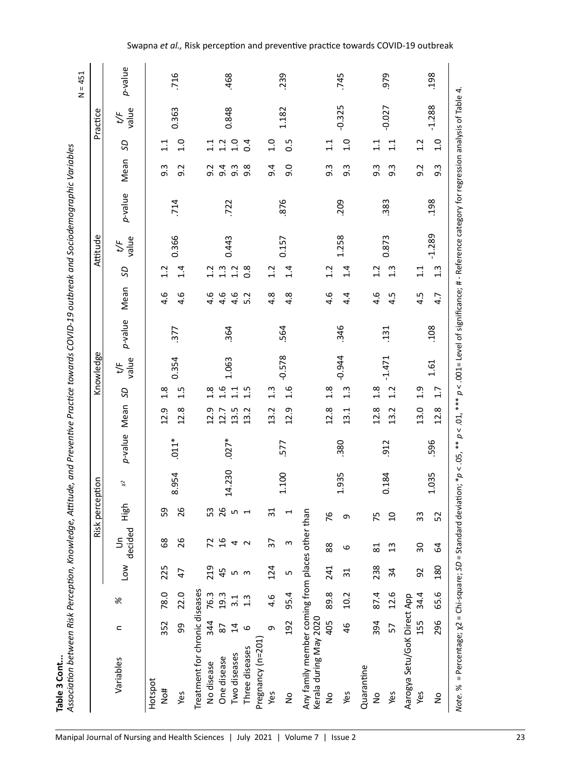| r.          |
|-------------|
|             |
| m           |
|             |
| IJ<br>c     |
|             |
|             |
| ¢<br>۱<br>٠ |

| į                               |  |
|---------------------------------|--|
|                                 |  |
|                                 |  |
|                                 |  |
|                                 |  |
|                                 |  |
|                                 |  |
|                                 |  |
|                                 |  |
|                                 |  |
|                                 |  |
| :<br>גרי                        |  |
|                                 |  |
|                                 |  |
| <b>シュニュンシック</b><br>ミスペー         |  |
|                                 |  |
| j                               |  |
|                                 |  |
|                                 |  |
|                                 |  |
|                                 |  |
| ֧֦֧֦֦֦֦֦֓֕֜                     |  |
|                                 |  |
| :                               |  |
|                                 |  |
|                                 |  |
|                                 |  |
|                                 |  |
|                                 |  |
| ļ                               |  |
| ֚֞֝֝֝֝֝֝֝֝֝֝֝֝<br>֧֪֝֝ <b>֟</b> |  |
|                                 |  |
|                                 |  |
|                                 |  |
|                                 |  |
|                                 |  |
|                                 |  |
|                                 |  |
|                                 |  |
|                                 |  |
|                                 |  |
| S                               |  |
|                                 |  |
| į                               |  |
|                                 |  |
|                                 |  |
|                                 |  |
| ם יולים                         |  |
|                                 |  |
|                                 |  |
| :                               |  |
|                                 |  |
|                                 |  |
| ممتصبتهم فممد<br>               |  |
|                                 |  |
|                                 |  |
|                                 |  |
|                                 |  |

|                                                                           |                |                  |                 |                        | Risk perce      | ption  |         |      | Knowledge        |                     |            |      |                                           | Attitude     |         |                  |                                           | Practice     |         |
|---------------------------------------------------------------------------|----------------|------------------|-----------------|------------------------|-----------------|--------|---------|------|------------------|---------------------|------------|------|-------------------------------------------|--------------|---------|------------------|-------------------------------------------|--------------|---------|
| Variables                                                                 | c              | X                | Low             | decided<br>$\tilde{5}$ | High            | ž,     | p-value | Mean | SD               | value<br>$\uparrow$ | p-value    | Mean | SD                                        | value<br>t/F | p-value | Mean             | SD                                        | value<br>t/F | p-value |
| Hotspot                                                                   |                |                  |                 |                        |                 |        |         |      |                  |                     |            |      |                                           |              |         |                  |                                           |              |         |
| No#                                                                       | 352            | 78.0             | 225             | 89                     | 59              |        |         | 12.9 | 1.8              |                     |            | 4.6  | 1.2                                       |              |         | $9.\overline{3}$ | 1.1                                       |              |         |
| Yes                                                                       | ஜ              | 22.0             | 47              | 26                     | 26              | 8.954  | $.011*$ | 12.8 | 1.5              | 0.354               | 377        | 4.6  | 1.4                                       | 0.366        | .714    | 9.2              | 1.0                                       | 0.363        | 716     |
| Treatment for chronic diseases                                            |                |                  |                 |                        |                 |        |         |      |                  |                     |            |      |                                           |              |         |                  |                                           |              |         |
| No disease                                                                | 344            | 76.3             | 219             | 72                     | 53              |        |         | 12.9 | 1.8              |                     |            | 4.6  | 1.2                                       |              |         | 9.2              | 1.1                                       |              |         |
| One disease                                                               | 2              | 19.3             | 45              | $\overline{a}$         | 26              | 14.230 | $.027*$ | 12.7 | 1.6              | 1.063               | 364        | 4.6  | $\begin{array}{c} 1.3 \\ 1.2 \end{array}$ | 0.443        | .722    |                  | $\begin{array}{c} 1.0 \\ 1.0 \end{array}$ | 0.848        | 468     |
| Two diseases                                                              | $\overline{1}$ | 3.1              | n m             | 4 <sub>2</sub>         | n ⊣             |        |         | 13.5 | 11               |                     |            | 4.6  |                                           |              |         | α m ∞<br>တစစ်    |                                           |              |         |
| Pregnancy (n=201)<br>Three diseases                                       | $\circ$        | $1.\overline{3}$ |                 |                        |                 |        |         | 13.2 | 1.5              |                     |            | 5.2  | $\frac{8}{2}$                             |              |         |                  | 0.4                                       |              |         |
| Yes                                                                       | c              | 4.6              | 124             | $\overline{37}$        | $\overline{3}1$ |        |         | 13.2 | $1.\overline{3}$ |                     |            | 4.8  | 1.2                                       |              |         | 9.4              | 1.0                                       |              |         |
| $\frac{1}{2}$                                                             | 192            | 95.4             | LŊ              | S                      | H               | 1.100  | 577     | 12.9 | 1.6              | $-0.578$            | 564        | 4.8  | 1.4                                       | 0.157        | 876     | 0.6              | $0.\overline{5}$                          | 1.182        | 239     |
| Any family member coming from places other than<br>Kerala during May 2020 |                |                  |                 |                        |                 |        |         |      |                  |                     |            |      |                                           |              |         |                  |                                           |              |         |
| $\frac{1}{2}$                                                             | 405            | 89.8             | 241             | 88                     | 76              |        |         | 12.8 | 1.8              |                     |            | 4.6  | 1.2                                       |              |         | $9.\overline{3}$ | 1.1                                       |              |         |
| Yes                                                                       | 46             | 10.2             | $\overline{31}$ | 6                      | 9               | 1.935  | 380     | 13.1 | $1.\overline{3}$ | $-0.944$            | 346        | 4.4  | 1.4                                       | 1.258        | 209     | $9.\overline{3}$ | 1.0                                       | $-0.325$     | .745    |
| Quarantine                                                                |                |                  |                 |                        |                 |        |         |      |                  |                     |            |      |                                           |              |         |                  |                                           |              |         |
| $\frac{1}{2}$                                                             | 394            | 87.4             | 238             | 81                     | 75              |        |         | 12.8 | 1.8              |                     |            | 4.6  | 1.2                                       |              |         | $9.\overline{3}$ | 1.1                                       |              |         |
| Yes                                                                       | 57             | 12.6             | $\overline{3}$  | 13                     | $\overline{a}$  | 0.184  | 912     | 13.2 | 1.2              | $-1.471$            | <b>131</b> | 4.5  | $1.\overline{3}$                          | 0.873        | 383     | $9.\overline{3}$ | 1.1                                       | $-0.027$     | 979     |
| Aarogya Setu/GoK Direct App<br>Yes                                        | 155            | 34.4             | 92              | $\overline{30}$        | 33              |        |         | 13.0 | 1.9              |                     |            | 4.5  | 1.1                                       |              |         | 9.2              | 1.2                                       |              |         |
| $\frac{1}{2}$                                                             | 296            | 65.6             | 180             | $\mathfrak{g}$         | 52              | 1.035  | 596     | 12.8 | 1.7              | 1.61                | 108        | 4.7  | $1.\overline{3}$                          | $-1.289$     | 198     | $9.\overline{3}$ | 1.0                                       | $-1.288$     | 198     |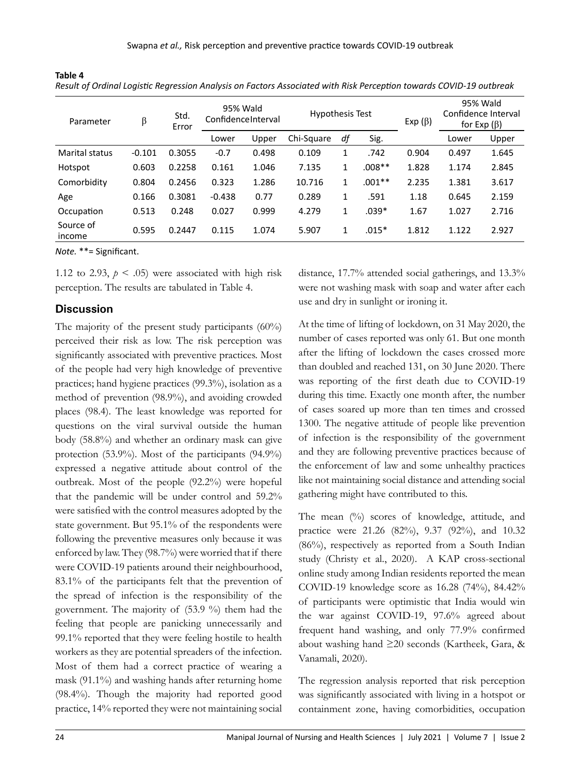|                       | ັ        |               |                                |       |                        |    |          |               |       |                                                      |
|-----------------------|----------|---------------|--------------------------------|-------|------------------------|----|----------|---------------|-------|------------------------------------------------------|
| Parameter             | β        | Std.<br>Error | 95% Wald<br>ConfidenceInterval |       | <b>Hypothesis Test</b> |    |          | Exp $(\beta)$ |       | 95% Wald<br>Confidence Interval<br>for Exp $(\beta)$ |
|                       |          |               | Lower                          | Upper | Chi-Square             | df | Sig.     |               | Lower | Upper                                                |
| <b>Marital status</b> | $-0.101$ | 0.3055        | $-0.7$                         | 0.498 | 0.109                  | 1  | .742     | 0.904         | 0.497 | 1.645                                                |
| Hotspot               | 0.603    | 0.2258        | 0.161                          | 1.046 | 7.135                  | 1  | $.008**$ | 1.828         | 1.174 | 2.845                                                |
| Comorbidity           | 0.804    | 0.2456        | 0.323                          | 1.286 | 10.716                 | 1  | $.001**$ | 2.235         | 1.381 | 3.617                                                |
| Age                   | 0.166    | 0.3081        | $-0.438$                       | 0.77  | 0.289                  | 1  | .591     | 1.18          | 0.645 | 2.159                                                |
| Occupation            | 0.513    | 0.248         | 0.027                          | 0.999 | 4.279                  | 1  | $.039*$  | 1.67          | 1.027 | 2.716                                                |
| Source of<br>income   | 0.595    | 0.2447        | 0.115                          | 1.074 | 5.907                  | 1  | $.015*$  | 1.812         | 1.122 | 2.927                                                |

*Result of Ordinal Logistic Regression Analysis on Factors Associated with Risk Perception towards COVID-19 outbreak*

*Note.* \*\*= Significant.

1.12 to 2.93,  $p < .05$ ) were associated with high risk perception. The results are tabulated in Table 4.

#### **Discussion**

**Table 4**

The majority of the present study participants (60%) perceived their risk as low. The risk perception was significantly associated with preventive practices. Most of the people had very high knowledge of preventive practices; hand hygiene practices (99.3%), isolation as a method of prevention (98.9%), and avoiding crowded places (98.4). The least knowledge was reported for questions on the viral survival outside the human body (58.8%) and whether an ordinary mask can give protection (53.9%). Most of the participants (94.9%) expressed a negative attitude about control of the outbreak. Most of the people (92.2%) were hopeful that the pandemic will be under control and 59.2% were satisfied with the control measures adopted by the state government. But 95.1% of the respondents were following the preventive measures only because it was enforced by law. They (98.7%) were worried that if there were COVID-19 patients around their neighbourhood, 83.1% of the participants felt that the prevention of the spread of infection is the responsibility of the government. The majority of (53.9 %) them had the feeling that people are panicking unnecessarily and 99.1% reported that they were feeling hostile to health workers as they are potential spreaders of the infection. Most of them had a correct practice of wearing a mask (91.1%) and washing hands after returning home (98.4%). Though the majority had reported good practice, 14% reported they were not maintaining social

distance, 17.7% attended social gatherings, and 13.3% were not washing mask with soap and water after each use and dry in sunlight or ironing it.

At the time of lifting of lockdown, on 31 May 2020, the number of cases reported was only 61. But one month after the lifting of lockdown the cases crossed more than doubled and reached 131, on 30 June 2020. There was reporting of the first death due to COVID-19 during this time. Exactly one month after, the number of cases soared up more than ten times and crossed 1300. The negative attitude of people like prevention of infection is the responsibility of the government and they are following preventive practices because of the enforcement of law and some unhealthy practices like not maintaining social distance and attending social gathering might have contributed to this.

The mean  $\frac{10}{6}$  scores of knowledge, attitude, and practice were 21.26 (82%), 9.37 (92%), and 10.32 (86%), respectively as reported from a South Indian study (Christy et al., 2020). A KAP cross-sectional online study among Indian residents reported the mean COVID-19 knowledge score as 16.28 (74%), 84.42% of participants were optimistic that India would win the war against COVID-19, 97.6% agreed about frequent hand washing, and only 77.9% confirmed about washing hand ≥20 seconds (Kartheek, Gara, & Vanamali, 2020).

The regression analysis reported that risk perception was significantly associated with living in a hotspot or containment zone, having comorbidities, occupation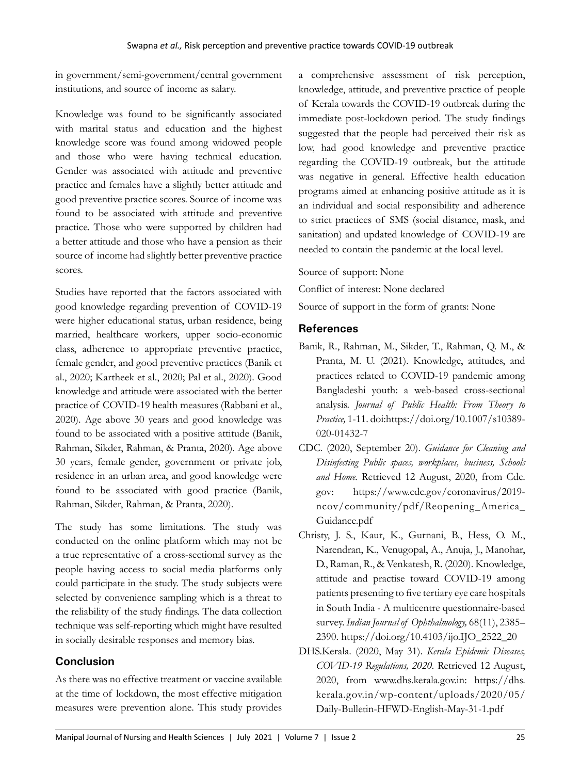in government/semi-government/central government institutions, and source of income as salary.

Knowledge was found to be significantly associated with marital status and education and the highest knowledge score was found among widowed people and those who were having technical education. Gender was associated with attitude and preventive practice and females have a slightly better attitude and good preventive practice scores. Source of income was found to be associated with attitude and preventive practice. Those who were supported by children had a better attitude and those who have a pension as their source of income had slightly better preventive practice scores.

Studies have reported that the factors associated with good knowledge regarding prevention of COVID-19 were higher educational status, urban residence, being married, healthcare workers, upper socio-economic class, adherence to appropriate preventive practice, female gender, and good preventive practices (Banik et al., 2020; Kartheek et al., 2020; Pal et al., 2020). Good knowledge and attitude were associated with the better practice of COVID-19 health measures (Rabbani et al., 2020). Age above 30 years and good knowledge was found to be associated with a positive attitude (Banik, Rahman, Sikder, Rahman, & Pranta, 2020). Age above 30 years, female gender, government or private job, residence in an urban area, and good knowledge were found to be associated with good practice (Banik, Rahman, Sikder, Rahman, & Pranta, 2020).

The study has some limitations. The study was conducted on the online platform which may not be a true representative of a cross-sectional survey as the people having access to social media platforms only could participate in the study. The study subjects were selected by convenience sampling which is a threat to the reliability of the study findings. The data collection technique was self-reporting which might have resulted in socially desirable responses and memory bias.

## **Conclusion**

As there was no effective treatment or vaccine available at the time of lockdown, the most effective mitigation measures were prevention alone. This study provides a comprehensive assessment of risk perception, knowledge, attitude, and preventive practice of people of Kerala towards the COVID-19 outbreak during the immediate post-lockdown period. The study findings suggested that the people had perceived their risk as low, had good knowledge and preventive practice regarding the COVID-19 outbreak, but the attitude was negative in general. Effective health education programs aimed at enhancing positive attitude as it is an individual and social responsibility and adherence to strict practices of SMS (social distance, mask, and sanitation) and updated knowledge of COVID-19 are needed to contain the pandemic at the local level.

Source of support: None

Conflict of interest: None declared

Source of support in the form of grants: None

## **References**

- Banik, R., Rahman, M., Sikder, T., Rahman, Q. M., & Pranta, M. U. (2021). Knowledge, attitudes, and practices related to COVID-19 pandemic among Bangladeshi youth: a web-based cross-sectional analysis. *Journal of Public Health: From Theory to Practice,* 1-11. doi:https://doi.org/10.1007/s10389- 020-01432-7
- CDC. (2020, September 20). *Guidance for Cleaning and Disinfecting Public spaces, workplaces, business, Schools and Home.* Retrieved 12 August, 2020, from Cdc. gov: https://www.cdc.gov/coronavirus/2019 ncov/community/pdf/Reopening\_America\_ Guidance.pdf
- Christy, J. S., Kaur, K., Gurnani, B., Hess, O. M., Narendran, K., Venugopal, A., Anuja, J., Manohar, D., Raman, R., & Venkatesh, R. (2020). Knowledge, attitude and practise toward COVID-19 among patients presenting to five tertiary eye care hospitals in South India - A multicentre questionnaire-based survey. *Indian Journal of Ophthalmology,* 68(11), 2385– 2390. https://doi.org/10.4103/ijo.IJO\_2522\_20
- DHS.Kerala. (2020, May 31). *Kerala Epidemic Diseases, COVID-19 Regulations, 2020.* Retrieved 12 August, 2020, from www.dhs.kerala.gov.in: https://dhs. kerala.gov.in/wp-content/uploads/2020/05/ Daily-Bulletin-HFWD-English-May-31-1.pdf